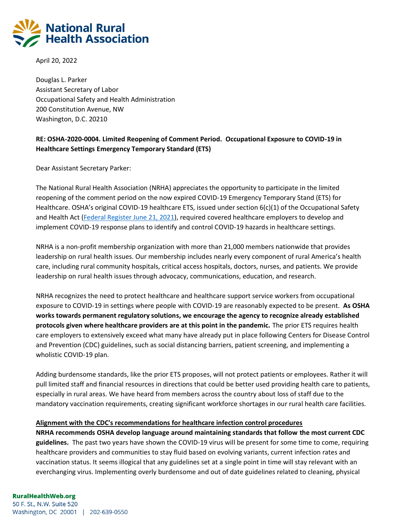

April 20, 2022

Douglas L. Parker Assistant Secretary of Labor Occupational Safety and Health Administration 200 Constitution Avenue, NW Washington, D.C. 20210

## **RE: OSHA-2020-0004. Limited Reopening of Comment Period. Occupational Exposure to COVID-19 in Healthcare Settings Emergency Temporary Standard (ETS)**

Dear Assistant Secretary Parker:

The National Rural Health Association (NRHA) appreciates the opportunity to participate in the limited reopening of the comment period on the now expired COVID-19 Emergency Temporary Stand (ETS) for Healthcare. OSHA's original COVID-19 healthcare ETS, issued under section 6(c)(1) of the Occupational Safety and Health Act [\(Federal Register June 21, 2021\)](https://www.govinfo.gov/content/pkg/FR-2021-06-21/pdf/2021-12428.pdf?utm_medium=email&utm_source=govdelivery), required covered healthcare employers to develop and implement COVID-19 response plans to identify and control COVID-19 hazards in healthcare settings.

NRHA is a non-profit membership organization with more than 21,000 members nationwide that provides leadership on rural health issues. Our membership includes nearly every component of rural America's health care, including rural community hospitals, critical access hospitals, doctors, nurses, and patients. We provide leadership on rural health issues through advocacy, communications, education, and research.

NRHA recognizes the need to protect healthcare and healthcare support service workers from occupational exposure to COVID-19 in settings where people with COVID-19 are reasonably expected to be present. **As OSHA works towards permanent regulatory solutions, we encourage the agency to recognize already established protocols given where healthcare providers are at this point in the pandemic.** The prior ETS requires health care employers to extensively exceed what many have already put in place following Centers for Disease Control and Prevention (CDC) guidelines, such as social distancing barriers, patient screening, and implementing a wholistic COVID-19 plan.

Adding burdensome standards, like the prior ETS proposes, will not protect patients or employees. Rather it will pull limited staff and financial resources in directions that could be better used providing health care to patients, especially in rural areas. We have heard from members across the country about loss of staff due to the mandatory vaccination requirements, creating significant workforce shortages in our rural health care facilities.

#### **Alignment with the CDC's recommendations for healthcare infection control procedures**

**NRHA recommends OSHA develop language around maintaining standards that follow the most current CDC guidelines.** The past two years have shown the COVID-19 virus will be present for some time to come, requiring healthcare providers and communities to stay fluid based on evolving variants, current infection rates and vaccination status. It seems illogical that any guidelines set at a single point in time will stay relevant with an everchanging virus. Implementing overly burdensome and out of date guidelines related to cleaning, physical

## **RuralHealthWeb.org**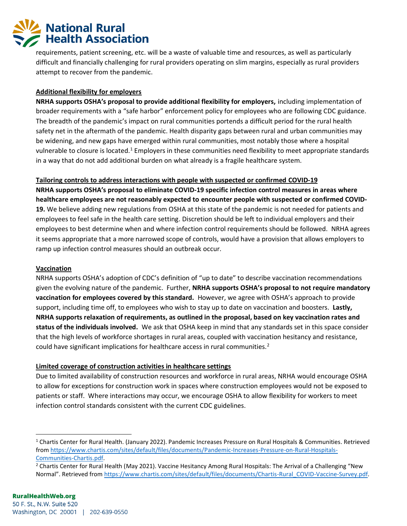# **National Rural Health Association**

requirements, patient screening, etc. will be a waste of valuable time and resources, as well as particularly difficult and financially challenging for rural providers operating on slim margins, especially as rural providers attempt to recover from the pandemic.

## **Additional flexibility for employers**

**NRHA supports OSHA's proposal to provide additional flexibility for employers,** including implementation of broader requirements with a "safe harbor" enforcement policy for employees who are following CDC guidance. The breadth of the pandemic's impact on rural communities portends a difficult period for the rural health safety net in the aftermath of the pandemic. Health disparity gaps between rural and urban communities may be widening, and new gaps have emerged within rural communities, most notably those where a hospital vulnerable to closure is located.<sup>1</sup> Employers in these communities need flexibility to meet appropriate standards in a way that do not add additional burden on what already is a fragile healthcare system.

## **Tailoring controls to address interactions with people with suspected or confirmed COVID-19**

**NRHA supports OSHA's proposal to eliminate COVID-19 specific infection control measures in areas where healthcare employees are not reasonably expected to encounter people with suspected or confirmed COVID-19.** We believe adding new regulations from OSHA at this state of the pandemic is not needed for patients and employees to feel safe in the health care setting. Discretion should be left to individual employers and their employees to best determine when and where infection control requirements should be followed. NRHA agrees it seems appropriate that a more narrowed scope of controls, would have a provision that allows employers to ramp up infection control measures should an outbreak occur.

## **Vaccination**

NRHA supports OSHA's adoption of CDC's definition of "up to date" to describe vaccination recommendations given the evolving nature of the pandemic. Further, **NRHA supports OSHA's proposal to not require mandatory vaccination for employees covered by this standard.** However, we agree with OSHA's approach to provide support, including time off, to employees who wish to stay up to date on vaccination and boosters. **Lastly, NRHA supports relaxation of requirements, as outlined in the proposal, based on key vaccination rates and status of the individuals involved.** We ask that OSHA keep in mind that any standards set in this space consider that the high levels of workforce shortages in rural areas, coupled with vaccination hesitancy and resistance, could have significant implications for healthcare access in rural communities.<sup>2</sup>

## **Limited coverage of construction activities in healthcare settings**

Due to limited availability of construction resources and workforce in rural areas, NRHA would encourage OSHA to allow for exceptions for construction work in spaces where construction employees would not be exposed to patients or staff. Where interactions may occur, we encourage OSHA to allow flexibility for workers to meet infection control standards consistent with the current CDC guidelines.

<sup>1</sup> Chartis Center for Rural Health. (January 2022). Pandemic Increases Pressure on Rural Hospitals & Communities. Retrieved from [https://www.chartis.com/sites/default/files/documents/Pandemic-Increases-Pressure-on-Rural-Hospitals-](https://www.chartis.com/sites/default/files/documents/Pandemic-Increases-Pressure-on-Rural-Hospitals-Communities-Chartis.pdf)[Communities-Chartis.pdf.](https://www.chartis.com/sites/default/files/documents/Pandemic-Increases-Pressure-on-Rural-Hospitals-Communities-Chartis.pdf) 

<sup>&</sup>lt;sup>2</sup> Chartis Center for Rural Health (May 2021). Vaccine Hesitancy Among Rural Hospitals: The Arrival of a Challenging "New Normal". Retrieved from [https://www.chartis.com/sites/default/files/documents/Chartis-Rural\\_COVID-Vaccine-Survey.pdf.](https://www.chartis.com/sites/default/files/documents/Chartis-Rural_COVID-Vaccine-Survey.pdf)